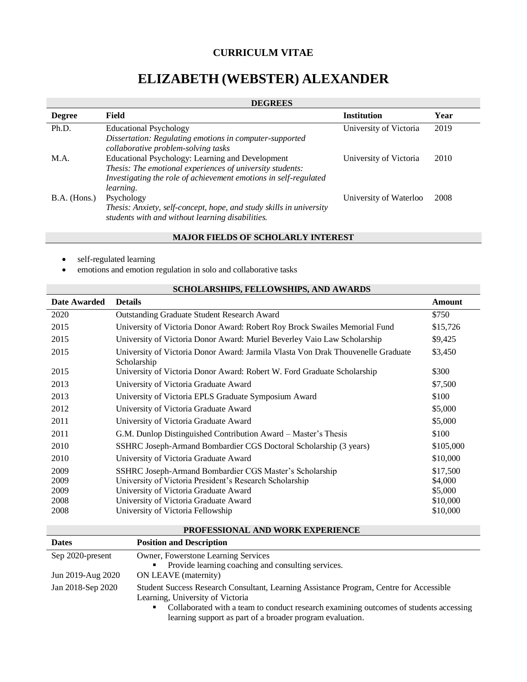## **CURRICULM VITAE**

# **ELIZABETH (WEBSTER) ALEXANDER**

# **DEGREES**

|                | --------                                                                                                                |                        |      |
|----------------|-------------------------------------------------------------------------------------------------------------------------|------------------------|------|
| <b>Degree</b>  | Field                                                                                                                   | <b>Institution</b>     | Year |
| Ph.D.          | <b>Educational Psychology</b><br>Dissertation: Regulating emotions in computer-supported                                | University of Victoria | 2019 |
|                | collaborative problem-solving tasks                                                                                     |                        |      |
| M.A.           | Educational Psychology: Learning and Development<br>Thesis: The emotional experiences of university students:           | University of Victoria | 2010 |
|                | Investigating the role of achievement emotions in self-regulated                                                        |                        |      |
|                | learning.                                                                                                               |                        |      |
| $B.A.$ (Hons.) | Psychology                                                                                                              | University of Waterloo | 2008 |
|                | Thesis: Anxiety, self-concept, hope, and study skills in university<br>students with and without learning disabilities. |                        |      |

### **MAJOR FIELDS OF SCHOLARLY INTEREST**

- self-regulated learning
- emotions and emotion regulation in solo and collaborative tasks

|              | beholarbhii b, Fello Wbhii b, ard awardb                                                        |               |
|--------------|-------------------------------------------------------------------------------------------------|---------------|
| Date Awarded | <b>Details</b>                                                                                  | <b>Amount</b> |
| 2020         | <b>Outstanding Graduate Student Research Award</b>                                              | \$750         |
| 2015         | University of Victoria Donor Award: Robert Roy Brock Swailes Memorial Fund                      | \$15,726      |
| 2015         | University of Victoria Donor Award: Muriel Beverley Vaio Law Scholarship                        | \$9,425       |
| 2015         | University of Victoria Donor Award: Jarmila Vlasta Von Drak Thouvenelle Graduate<br>Scholarship | \$3,450       |
| 2015         | University of Victoria Donor Award: Robert W. Ford Graduate Scholarship                         | \$300         |
| 2013         | University of Victoria Graduate Award                                                           | \$7,500       |
| 2013         | University of Victoria EPLS Graduate Symposium Award                                            | \$100         |
| 2012         | University of Victoria Graduate Award                                                           | \$5,000       |
| 2011         | University of Victoria Graduate Award                                                           | \$5,000       |
| 2011         | G.M. Dunlop Distinguished Contribution Award – Master's Thesis                                  | \$100         |
| 2010         | SSHRC Joseph-Armand Bombardier CGS Doctoral Scholarship (3 years)                               | \$105,000     |
| 2010         | University of Victoria Graduate Award                                                           | \$10,000      |
| 2009         | SSHRC Joseph-Armand Bombardier CGS Master's Scholarship                                         | \$17,500      |
| 2009         | University of Victoria President's Research Scholarship                                         | \$4,000       |
| 2009         | University of Victoria Graduate Award                                                           | \$5,000       |
| 2008         | University of Victoria Graduate Award                                                           | \$10,000      |
| 2008         | University of Victoria Fellowship                                                               | \$10,000      |

# **SCHOLARSHIPS, FELLOWSHIPS, AND AWARDS**

#### **PROFESSIONAL AND WORK EXPERIENCE**

| <b>Dates</b>      | <b>Position and Description</b>                                                                                                                                                                                                                                                        |
|-------------------|----------------------------------------------------------------------------------------------------------------------------------------------------------------------------------------------------------------------------------------------------------------------------------------|
| Sep 2020-present  | Owner, Fowerstone Learning Services                                                                                                                                                                                                                                                    |
|                   | Provide learning coaching and consulting services.<br>٠                                                                                                                                                                                                                                |
| Jun 2019-Aug 2020 | ON LEAVE (maternity)                                                                                                                                                                                                                                                                   |
| Jan 2018-Sep 2020 | Student Success Research Consultant, Learning Assistance Program, Centre for Accessible<br>Learning, University of Victoria<br>Collaborated with a team to conduct research examining outcomes of students accessing<br>٠<br>learning support as part of a broader program evaluation. |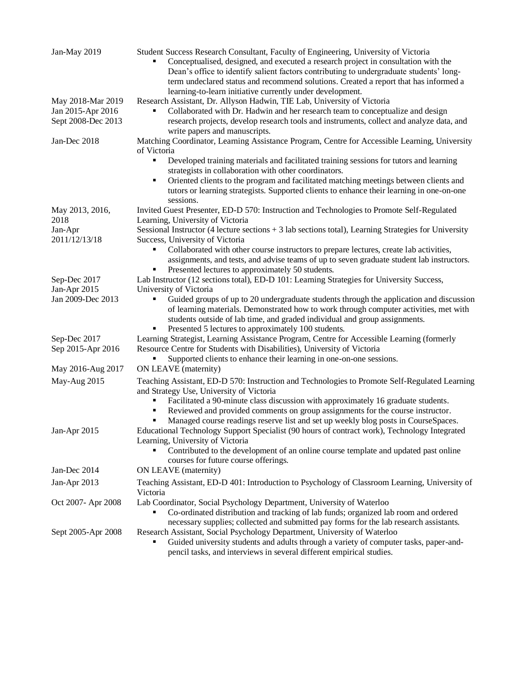| Jan-May 2019                            | Student Success Research Consultant, Faculty of Engineering, University of Victoria<br>Conceptualised, designed, and executed a research project in consultation with the<br>Dean's office to identify salient factors contributing to undergraduate students' long-<br>term undeclared status and recommend solutions. Created a report that has informed a<br>learning-to-learn initiative currently under development. |
|-----------------------------------------|---------------------------------------------------------------------------------------------------------------------------------------------------------------------------------------------------------------------------------------------------------------------------------------------------------------------------------------------------------------------------------------------------------------------------|
| May 2018-Mar 2019                       | Research Assistant, Dr. Allyson Hadwin, TIE Lab, University of Victoria                                                                                                                                                                                                                                                                                                                                                   |
| Jan 2015-Apr 2016<br>Sept 2008-Dec 2013 | Collaborated with Dr. Hadwin and her research team to conceptualize and design<br>research projects, develop research tools and instruments, collect and analyze data, and<br>write papers and manuscripts.                                                                                                                                                                                                               |
| Jan-Dec 2018                            | Matching Coordinator, Learning Assistance Program, Centre for Accessible Learning, University<br>of Victoria                                                                                                                                                                                                                                                                                                              |
|                                         | Developed training materials and facilitated training sessions for tutors and learning<br>Ξ<br>strategists in collaboration with other coordinators.                                                                                                                                                                                                                                                                      |
|                                         | п                                                                                                                                                                                                                                                                                                                                                                                                                         |
|                                         | Oriented clients to the program and facilitated matching meetings between clients and<br>tutors or learning strategists. Supported clients to enhance their learning in one-on-one<br>sessions.                                                                                                                                                                                                                           |
| May 2013, 2016,<br>2018                 | Invited Guest Presenter, ED-D 570: Instruction and Technologies to Promote Self-Regulated<br>Learning, University of Victoria                                                                                                                                                                                                                                                                                             |
| Jan-Apr<br>2011/12/13/18                | Sessional Instructor (4 lecture sections + 3 lab sections total), Learning Strategies for University<br>Success, University of Victoria                                                                                                                                                                                                                                                                                   |
|                                         | Collaborated with other course instructors to prepare lectures, create lab activities,<br>٠<br>assignments, and tests, and advise teams of up to seven graduate student lab instructors.<br>Presented lectures to approximately 50 students.                                                                                                                                                                              |
| Sep-Dec 2017                            | Lab Instructor (12 sections total), ED-D 101: Learning Strategies for University Success,                                                                                                                                                                                                                                                                                                                                 |
| Jan-Apr 2015                            | University of Victoria                                                                                                                                                                                                                                                                                                                                                                                                    |
| Jan 2009-Dec 2013                       | Guided groups of up to 20 undergraduate students through the application and discussion<br>of learning materials. Demonstrated how to work through computer activities, met with<br>students outside of lab time, and graded individual and group assignments.                                                                                                                                                            |
|                                         | Presented 5 lectures to approximately 100 students.                                                                                                                                                                                                                                                                                                                                                                       |
| Sep-Dec 2017<br>Sep 2015-Apr 2016       | Learning Strategist, Learning Assistance Program, Centre for Accessible Learning (formerly<br>Resource Centre for Students with Disabilities), University of Victoria<br>Supported clients to enhance their learning in one-on-one sessions.                                                                                                                                                                              |
| May 2016-Aug 2017                       | ON LEAVE (maternity)                                                                                                                                                                                                                                                                                                                                                                                                      |
| May-Aug 2015                            | Teaching Assistant, ED-D 570: Instruction and Technologies to Promote Self-Regulated Learning                                                                                                                                                                                                                                                                                                                             |
|                                         | and Strategy Use, University of Victoria<br>Facilitated a 90-minute class discussion with approximately 16 graduate students.<br>٠<br>Reviewed and provided comments on group assignments for the course instructor.<br>٠<br>Managed course readings reserve list and set up weekly blog posts in CourseSpaces.                                                                                                           |
| Jan-Apr 2015                            | Educational Technology Support Specialist (90 hours of contract work), Technology Integrated<br>Learning, University of Victoria<br>Contributed to the development of an online course template and updated past online<br>courses for future course offerings.                                                                                                                                                           |
| Jan-Dec 2014                            | ON LEAVE (maternity)                                                                                                                                                                                                                                                                                                                                                                                                      |
| Jan-Apr 2013                            | Teaching Assistant, ED-D 401: Introduction to Psychology of Classroom Learning, University of<br>Victoria                                                                                                                                                                                                                                                                                                                 |
| Oct 2007- Apr 2008                      | Lab Coordinator, Social Psychology Department, University of Waterloo<br>Co-ordinated distribution and tracking of lab funds; organized lab room and ordered                                                                                                                                                                                                                                                              |
| Sept 2005-Apr 2008                      | necessary supplies; collected and submitted pay forms for the lab research assistants.<br>Research Assistant, Social Psychology Department, University of Waterloo<br>Guided university students and adults through a variety of computer tasks, paper-and-<br>pencil tasks, and interviews in several different empirical studies.                                                                                       |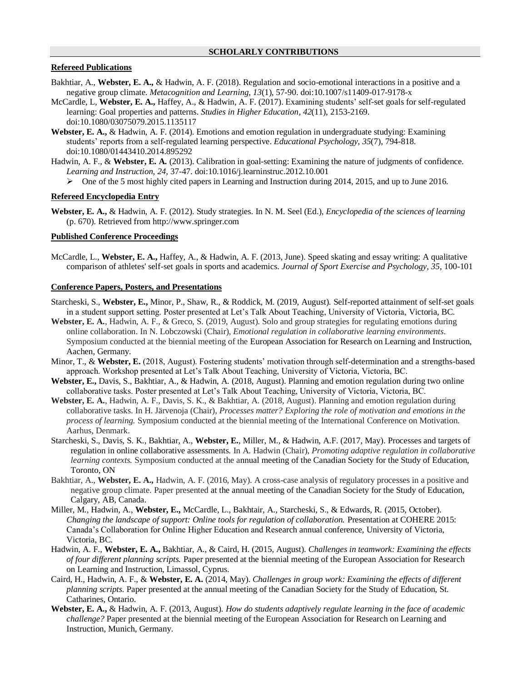#### **Refereed Publications**

- Bakhtiar, A., **Webster, E. A.,** & Hadwin, A. F. (2018). Regulation and socio-emotional interactions in a positive and a negative group climate. *Metacognition and Learning, 13*(1), 57-90. doi:10.1007/s11409-017-9178-x
- McCardle, L, **Webster, E. A.,** Haffey, A., & Hadwin, A. F. (2017). Examining students' self-set goals for self-regulated learning: Goal properties and patterns. *Studies in Higher Education, 42*(11), 2153-2169. doi:10.1080/03075079.2015.1135117
- **Webster, E. A.,** & Hadwin, A. F. (2014). Emotions and emotion regulation in undergraduate studying: Examining students' reports from a self-regulated learning perspective. *Educational Psychology, 35*(7), 794-818. doi:10.1080/01443410.2014.895292
- Hadwin, A. F., & **Webster, E. A.** (2013). Calibration in goal-setting: Examining the nature of judgments of confidence. *Learning and Instruction, 24,* 37-47. doi:10.1016/j.learninstruc.2012.10.001
	- $\triangleright$  One of the 5 most highly cited papers in Learning and Instruction during 2014, 2015, and up to June 2016.

#### **Refereed Encyclopedia Entry**

**Webster, E. A.,** & Hadwin, A. F. (2012). Study strategies. In N. M. Seel (Ed.), *Encyclopedia of the sciences of learning* (p. 670). Retrieved from http://www.springer.com

#### **Published Conference Proceedings**

McCardle, L., **Webster, E. A.,** Haffey, A., & Hadwin, A. F. (2013, June). Speed skating and essay writing: A qualitative comparison of athletes' self-set goals in sports and academics. *Journal of Sport Exercise and Psychology, 35*, 100-101

#### **Conference Papers, Posters, and Presentations**

- Starcheski, S., **Webster, E.,** Minor, P., Shaw, R., & Roddick, M. (2019, August). Self-reported attainment of self-set goals in a student support setting. Poster presented at Let's Talk About Teaching, University of Victoria, Victoria, BC.
- **Webster, E. A.**, Hadwin, A. F., & Greco, S. (2019, August). Solo and group strategies for regulating emotions during online collaboration. In N. Lobczowski (Chair), *Emotional regulation in collaborative learning environments.* Symposium conducted at the biennial meeting of the European Association for Research on Learning and Instruction, Aachen, Germany.
- Minor, T., & **Webster, E.** (2018, August). Fostering students' motivation through self-determination and a strengths-based approach. Workshop presented at Let's Talk About Teaching, University of Victoria, Victoria, BC.
- **Webster, E.,** Davis, S., Bakhtiar, A., & Hadwin, A. (2018, August). Planning and emotion regulation during two online collaborative tasks. Poster presented at Let's Talk About Teaching, University of Victoria, Victoria, BC.
- **Webster, E. A.**, Hadwin, A. F., Davis, S. K., & Bakhtiar, A. (2018, August). Planning and emotion regulation during collaborative tasks. In H. Järvenoja (Chair), *Processes matter? Exploring the role of motivation and emotions in the process of learning.* Symposium conducted at the biennial meeting of the International Conference on Motivation. Aarhus, Denmark.
- Starcheski, S., Davis, S. K., Bakhtiar, A., **Webster, E.**, Miller, M., & Hadwin, A.F. (2017, May). Processes and targets of regulation in online collaborative assessments. In A. Hadwin (Chair), *Promoting adaptive regulation in collaborative learning contexts.* Symposium conducted at the annual meeting of the Canadian Society for the Study of Education, Toronto, ON
- Bakhtiar, A., **Webster, E. A.,** Hadwin, A. F. (2016, May). A cross-case analysis of regulatory processes in a positive and negative group climate. Paper presented at the annual meeting of the Canadian Society for the Study of Education, Calgary, AB, Canada.
- Miller, M., Hadwin, A., **Webster, E.,** McCardle, L., Bakhtair, A., Starcheski, S., & Edwards, R. (2015, October). *Changing the landscape of support: Online tools for regulation of collaboration.* Presentation at COHERE 2015: Canada's Collaboration for Online Higher Education and Research annual conference, University of Victoria, Victoria, BC.
- Hadwin, A. F., **Webster, E. A.,** Bakhtiar, A., & Caird, H. (2015, August). *Challenges in teamwork: Examining the effects of four different planning scripts.* Paper presented at the biennial meeting of the European Association for Research on Learning and Instruction, Limassol, Cyprus.
- Caird, H., Hadwin, A. F., & **Webster, E. A.** (2014, May). *Challenges in group work: Examining the effects of different planning scripts.* Paper presented at the annual meeting of the Canadian Society for the Study of Education, St. Catharines, Ontario.
- **Webster, E. A.,** & Hadwin, A. F. (2013, August). *How do students adaptively regulate learning in the face of academic challenge?* Paper presented at the biennial meeting of the European Association for Research on Learning and Instruction, Munich, Germany.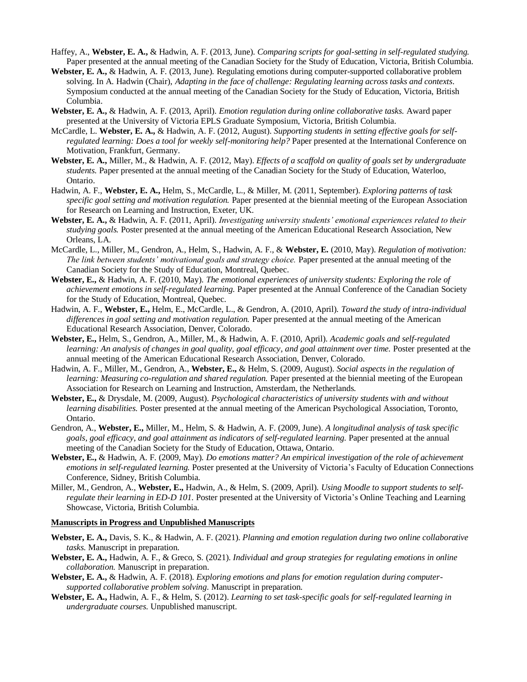- Haffey, A., **Webster, E. A.,** & Hadwin, A. F. (2013, June). *Comparing scripts for goal-setting in self-regulated studying.*  Paper presented at the annual meeting of the Canadian Society for the Study of Education, Victoria, British Columbia.
- **Webster, E. A.,** & Hadwin, A. F. (2013, June). Regulating emotions during computer-supported collaborative problem solving. In A. Hadwin (Chair), *Adapting in the face of challenge: Regulating learning across tasks and contexts.*  Symposium conducted at the annual meeting of the Canadian Society for the Study of Education, Victoria, British Columbia.
- **Webster, E. A.,** & Hadwin, A. F. (2013, April). *Emotion regulation during online collaborative tasks.* Award paper presented at the University of Victoria EPLS Graduate Symposium, Victoria, British Columbia.
- McCardle, L. **Webster, E. A.,** & Hadwin, A. F. (2012, August). *Supporting students in setting effective goals for selfregulated learning: Does a tool for weekly self-monitoring help?* Paper presented at the International Conference on Motivation, Frankfurt, Germany.
- **Webster, E. A.,** Miller, M., & Hadwin, A. F. (2012, May). *Effects of a scaffold on quality of goals set by undergraduate students.* Paper presented at the annual meeting of the Canadian Society for the Study of Education, Waterloo, Ontario.
- Hadwin, A. F., **Webster, E. A.,** Helm, S., McCardle, L., & Miller, M. (2011, September). *Exploring patterns of task specific goal setting and motivation regulation.* Paper presented at the biennial meeting of the European Association for Research on Learning and Instruction, Exeter, UK.
- **Webster, E. A.,** & Hadwin, A. F. (2011, April). *Investigating university students' emotional experiences related to their studying goals.* Poster presented at the annual meeting of the American Educational Research Association, New Orleans, LA.
- McCardle, L., Miller, M., Gendron, A., Helm, S., Hadwin, A. F., & **Webster, E.** (2010, May). *Regulation of motivation: The link between students' motivational goals and strategy choice.* Paper presented at the annual meeting of the Canadian Society for the Study of Education, Montreal, Quebec.
- **Webster, E.,** & Hadwin, A. F. (2010, May). *The emotional experiences of university students: Exploring the role of achievement emotions in self-regulated learning.* Paper presented at the Annual Conference of the Canadian Society for the Study of Education, Montreal, Quebec.
- Hadwin, A. F., **Webster, E.,** Helm, E., McCardle, L., & Gendron, A. (2010, April). *Toward the study of intra-individual differences in goal setting and motivation regulation.* Paper presented at the annual meeting of the American Educational Research Association, Denver, Colorado.
- **Webster, E.,** Helm, S., Gendron, A., Miller, M., & Hadwin, A. F. (2010, April). *Academic goals and self-regulated*  learning: An analysis of changes in goal quality, goal efficacy, and goal attainment over time. Poster presented at the annual meeting of the American Educational Research Association, Denver, Colorado.
- Hadwin, A. F., Miller, M., Gendron, A., **Webster, E.,** & Helm, S. (2009, August). *Social aspects in the regulation of learning: Measuring co-regulation and shared regulation.* Paper presented at the biennial meeting of the European Association for Research on Learning and Instruction, Amsterdam, the Netherlands.
- **Webster, E.,** & Drysdale, M. (2009, August). *Psychological characteristics of university students with and without learning disabilities.* Poster presented at the annual meeting of the American Psychological Association, Toronto, Ontario.
- Gendron, A., **Webster, E.,** Miller, M., Helm, S. & Hadwin, A. F. (2009, June). *A longitudinal analysis of task specific goals, goal efficacy, and goal attainment as indicators of self-regulated learning.* Paper presented at the annual meeting of the Canadian Society for the Study of Education, Ottawa, Ontario.
- **Webster, E.,** & Hadwin, A. F. (2009, May). *Do emotions matter? An empirical investigation of the role of achievement emotions in self-regulated learning.* Poster presented at the University of Victoria's Faculty of Education Connections Conference, Sidney, British Columbia.
- Miller, M., Gendron, A., **Webster, E.,** Hadwin, A., & Helm, S. (2009, April). *Using Moodle to support students to selfregulate their learning in ED-D 101.* Poster presented at the University of Victoria's Online Teaching and Learning Showcase, Victoria, British Columbia.

#### **Manuscripts in Progress and Unpublished Manuscripts**

- **Webster, E. A.,** Davis, S. K., & Hadwin, A. F. (2021). *Planning and emotion regulation during two online collaborative tasks.* Manuscript in preparation.
- **Webster, E. A.,** Hadwin, A. F., & Greco, S. (2021). *Individual and group strategies for regulating emotions in online collaboration.* Manuscript in preparation.
- **Webster, E. A.,** & Hadwin, A. F. (2018). *Exploring emotions and plans for emotion regulation during computersupported collaborative problem solving.* Manuscript in preparation.
- **Webster, E. A.,** Hadwin, A. F., & Helm, S. (2012). *Learning to set task-specific goals for self-regulated learning in undergraduate courses.* Unpublished manuscript.